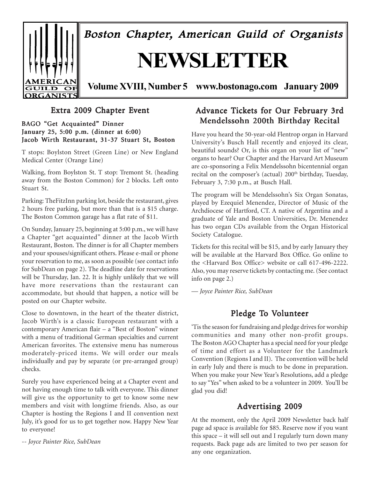

Boston Chapter, American Guild of Organists

# **NEWSLETTER**

**Volume XVIII, Number 5 www.bostonago.com January 2009**

### Extra 2009 Chapter Event

BAGO "Get Acquainted" Dinner January 25, 5:00 p.m. (dinner at 6:00) Jacob Wirth Restaurant, 31-37 Stuart St, Boston

T stops: Boylston Street (Green Line) or New England Medical Center (Orange Line)

Walking, from Boylston St. T stop: Tremont St. (heading away from the Boston Common) for 2 blocks. Left onto Stuart St.

Parking: TheFitzInn parking lot, beside the restaurant, gives 2 hours free parking, but more than that is a \$15 charge. The Boston Common garage has a flat rate of \$11.

On Sunday, January 25, beginning at 5:00 p.m., we will have a Chapter "get acquainted" dinner at the Jacob Wirth Restaurant, Boston. The dinner is for all Chapter members and your spouses/significant others. Please e-mail or phone your reservation to me, as soon as possible (see contact info for SubDean on page 2). The deadline date for reservations will be Thursday, Jan. 22. It is highly unlikely that we will have more reservations than the restaurant can accommodate, but should that happen, a notice will be posted on our Chapter website.

Close to downtown, in the heart of the theater district, Jacob Wirth's is a classic European restaurant with a contemporary American flair – a "Best of Boston" winner with a menu of traditional German specialties and current American favorites. The extensive menu has numerous moderately-priced items. We will order our meals individually and pay by separate (or pre-arranged group) checks.

Surely you have experienced being at a Chapter event and not having enough time to talk with everyone. This dinner will give us the opportunity to get to know some new members and visit with longtime friends. Also, as our Chapter is hosting the Regions I and II convention next July, it's good for us to get together now. Happy New Year to everyone!

*-- Joyce Painter Rice, SubDean*

### Advance Tickets for Our February 3rd Mendelssohn 200th Birthday Recital

Have you heard the 50-year-old Flentrop organ in Harvard University's Busch Hall recently and enjoyed its clear, beautiful sounds? Or, is this organ on your list of "new" organs to hear? Our Chapter and the Harvard Art Museum are co-sponsoring a Felix Mendelssohn bicentennial organ recital on the composer's (actual) 200<sup>th</sup> birthday, Tuesday, February 3, 7:30 p.m., at Busch Hall.

The program will be Mendelssohn's Six Organ Sonatas, played by Ezequiel Menendez, Director of Music of the Archdiocese of Hartford, CT. A native of Argentina and a graduate of Yale and Boston Universities, Dr. Menendez has two organ CDs available from the Organ Historical Society Catalogue.

Tickets for this recital will be \$15, and by early January they will be available at the Harvard Box Office. Go online to the <Harvard Box Office> website or call 617-496-2222. Also, you may reserve tickets by contacting me. (See contact info on page 2.)

*— Joyce Painter Rice, SubDean*

### Pledge To Volunteer

'Tis the season for fundraising and pledge drives for worship communities and many other non-profit groups. The Boston AGO Chapter has a special need for your pledge of time and effort as a Volunteer for the Landmark Convention (Regions I and II). The convention will be held in early July and there is much to be done in preparation. When you make your New Year's Resolutions, add a pledge to say "Yes" when asked to be a volunteer in 2009. You'll be glad you did!

### Advertising 2009

At the moment, only the April 2009 Newsletter back half page ad space is available for \$85. Reserve now if you want this space – it will sell out and I regularly turn down many requests. Back page ads are limited to two per season for any one organization.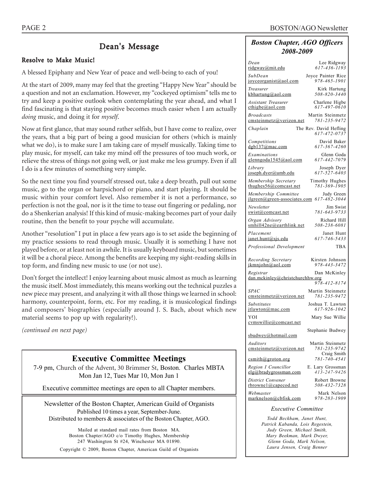### Dean's Message

### Resolve to Make Music!

A blessed Epiphany and New Year of peace and well-being to each of you!

At the start of 2009, many may feel that the greeting "Happy New Year" should be a question and not an exclamation. However, my "cockeyed optimism" tells me to try and keep a positive outlook when contemplating the year ahead, and what I find fascinating is that staying positive becomes much easier when I am actually *doing* music, and doing it for *myself*.

Now at first glance, that may sound rather selfish, but I have come to realize, over the years, that a big part of being a good musician for others (which is mainly what we do), is to make sure I am taking care of myself musically. Taking time to play music, for myself, can take my mind off the pressures of too much work, or relieve the stress of things not going well, or just make me less grumpy. Even if all I do is a few minutes of something very simple.

So the next time you find yourself stressed out, take a deep breath, pull out some music, go to the organ or harpsichord or piano, and start playing. It should be music within your comfort level. Also remember it is not a performance, so perfection is not the goal, nor is it the time to tease out fingering or pedaling, nor do a Shenkerian analysis! If this kind of music-making becomes part of your daily routine, then the benefit to your psyche will accumulate.

Another "resolution" I put in place a few years ago is to set aside the beginning of my practice sessions to read through music. Usually it is something I have not played before, or at least not in awhile. It is usually keyboard music, but sometimes it will be a choral piece. Among the benefits are keeping my sight-reading skills in top form, and finding new music to use (or not use).

Don't forget the intellect! I enjoy learning about music almost as much as learning the music itself. Most immediately, this means working out the technical puzzles a new piece may present, and analyzing it with all those things we learned in school: harmony, counterpoint, form, etc. For my reading, it is musicological findings and composers' biographies (especially around J. S. Bach, about which new material seems to pop up with regularity!).

*(continued on next page)*

#### **Executive Committee Meetings**

7-9 pm, Church of the Advent, 30 Brimmer St, Boston. Charles MBTA Mon Jan 12, Tues Mar 10, Mon Jun 1

Executive committee meetings are open to all Chapter members.

Newsletter of the Boston Chapter, American Guild of Organists Published 10 times a year, September-June. Distributed to members & associates of the Boston Chapter, AGO.

Mailed at standard mail rates from Boston MA. Boston Chapter/AGO c/o Timothy Hughes, Membership 247 Washington St #24, Winchester MA 01890. Copyright © 2009, Boston Chapter, American Guild of Organists

#### *Boston Chapter, AGO Officers 2008-2009*

| Dean                                         | Lee Ridgway                            |  |  |  |  |
|----------------------------------------------|----------------------------------------|--|--|--|--|
| <u>ridgway@mit.edu</u>                       | 617-436-1193                           |  |  |  |  |
| SubDean                                      | Joyce Painter Rice                     |  |  |  |  |
| joyceorganist@aol.com                        | 978-465-1901                           |  |  |  |  |
| Treasurer                                    | Kirk Hartung                           |  |  |  |  |
| kbhartung@aol.com                            | 508-820-3440                           |  |  |  |  |
| Assistant Treasurer                          | Charlene Higbe                         |  |  |  |  |
| $\text{cthigbe}(a)$ aol.com                  | 617-497-0610                           |  |  |  |  |
| <b>Broadcasts</b>                            | Martin Steinmetz                       |  |  |  |  |
| cmsteinmetz@verizon.net                      | 781-235-9472                           |  |  |  |  |
| Chaplain                                     | The Rev. David Hefling<br>617-472-0737 |  |  |  |  |
| Competitions                                 | David Baker                            |  |  |  |  |
| dgb137@mac.com                               | 617-367-4260                           |  |  |  |  |
| Examinations                                 | Glenn Goda                             |  |  |  |  |
| glenngoda1545@aol.com                        | 617-442-7079                           |  |  |  |  |
| Library                                      | Joseph Dyer                            |  |  |  |  |
| joseph.dyer@umb.edu                          | $617 - 527 - 6403$                     |  |  |  |  |
| Membership Secretary                         | Timothy Hughes                         |  |  |  |  |
| thughes $56@$ comcast.net                    | 781-369-1905                           |  |  |  |  |
| Membership Committee                         | Judy Green                             |  |  |  |  |
| ilgreen@green-associates.com                 | 617-482-3044                           |  |  |  |  |
| Newsletter                                   | Jim Swist                              |  |  |  |  |
| swist@comcast.net                            | 781-643-9733                           |  |  |  |  |
| Organ Advisory                               | Richard Hill                           |  |  |  |  |
| smhill42ne@earthlink.net                     | 508-238-6081                           |  |  |  |  |
| Placement                                    | Janet Hunt                             |  |  |  |  |
| janet.hunt@sjs.edu                           | 617-746-5433                           |  |  |  |  |
| Professional Development                     | TBA                                    |  |  |  |  |
| Recording Secretary                          | Kirsten Johnson                        |  |  |  |  |
| ikmniohn@aol.com                             | 978-443-3472                           |  |  |  |  |
| Registrar<br>dan.mckinley@christchurchhw.org | Dan McKinley                           |  |  |  |  |
| <i>SPAC</i>                                  | 978-412-8174<br>Martin Steinmetz       |  |  |  |  |
| emsteinmetz@verizon.net                      | 781-235-9472                           |  |  |  |  |
| <b>Substitutes</b>                           | Joshua T. Lawton                       |  |  |  |  |
| itlawton@mac.com                             | 617-926-1042                           |  |  |  |  |
| YOI<br>cymswillie@comcast.net                | Mary Sue Willie                        |  |  |  |  |
| sbudwey@hotmail.com                          | Stephanie Budwey                       |  |  |  |  |
| Auditors                                     | Martin Steinmetz                       |  |  |  |  |
| emsteinmetz@verizon.net                      | 781-235-9742<br>Craig Smith            |  |  |  |  |
| csmith@groton.org                            | $781 - 740 - 4541$                     |  |  |  |  |
| Region I Councillor                          | E. Lary Grossman                       |  |  |  |  |
| elg@bradygrossman.com                        | $413 - 247 - 9426$                     |  |  |  |  |
| District Convener                            | Robert Browne                          |  |  |  |  |
| $rbrownel$ @capecod.net                      | 508-432-7328                           |  |  |  |  |
| Webmaster                                    | Mark Nelson                            |  |  |  |  |
| marknelson@cbfisk.com                        | 978-283-1909                           |  |  |  |  |
| <b>Executive Committee</b>                   |                                        |  |  |  |  |

*Todd Beckham, Janet Hunt, Patrick Kabanda, Lois Regestein, Judy Green, Michael Smith, Mary Beekman, Mark Dwyer, Glenn Goda, Mark Nelson, Laura Jensen, Craig Benner*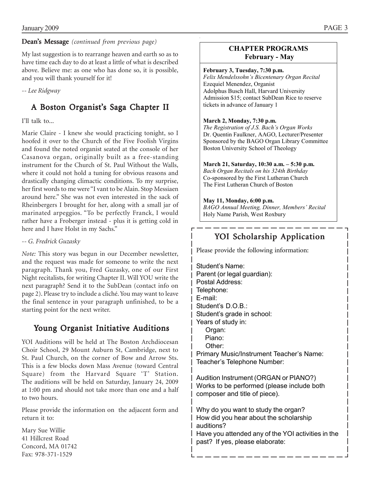#### Dean's Message *(continued from previous page)*

My last suggestion is to rearrange heaven and earth so as to have time each day to do at least a little of what is described above. Believe me: as one who has done so, it is possible, and you will thank yourself for it!

*-- Lee Ridgway*

### A Boston Organist's Saga Chapter II

### I'll talk to...

Marie Claire - I knew she would practicing tonight, so I hoofed it over to the Church of the Five Foolish Virgins and found the noted organist seated at the console of her Casanova organ, originally built as a free-standing instrument for the Church of St. Paul Without the Walls, where it could not hold a tuning for obvious reasons and drastically changing climactic conditions. To my surprise, her first words to me were "I vant to be Alain. Stop Messiaen around here." She was not even interested in the sack of Rheinbergers I brought for her, along with a small jar of marinated arpeggios. "To be perfectly Franck, I would rather have a Froberger instead - plus it is getting cold in here and I have Holst in my Sachs."

#### *-- G. Fredrick Guzasky*

*Note:* This story was begun in our December newsletter, and the request was made for someone to write the next paragraph. Thank you, Fred Guzasky, one of our First Night recitalists, for writing Chapter II. Will YOU write the next paragraph? Send it to the SubDean (contact info on page 2). Please try to include a cliché. You may want to leave the final sentence in your paragraph unfinished, to be a starting point for the next writer.

### Young Organist Initiative Auditions

YOI Auditions will be held at The Boston Archdiocesan Choir School, 29 Mount Auburn St, Cambridge, next to St. Paul Church, on the corner of Bow and Arrow Sts. This is a few blocks down Mass Avenue (toward Central Square) from the Harvard Square 'T' Station. The auditions will be held on Saturday, January 24, 2009 at 1:00 pm and should not take more than one and a half to two hours.

Please provide the information on the adjacent form and return it to:

Mary Sue Willie 41 Hillcrest Road Concord, MA 01742 Fax: 978-371-1529

### **CHAPTER PROGRAMS February - May**

#### **February 3, Tuesday, 7:30 p.m.**

*Felix Mendelssohn's Bicentenary Organ Recital*  Ezequiel Menendez, Organist Adolphus Busch Hall, Harvard University Admission \$15; contact SubDean Rice to reserve tickets in advance of January 1

#### **March 2, Monday, 7:30 p.m.**

*The Registration of J.S. Bach's Organ Works*  Dr. Quentin Faulkner, AAGO, Lecturer/Presenter Sponsored by the BAGO Organ Library Committee Boston University School of Theology

#### **March 21, Saturday, 10:30 a.m. – 5:30 p.m.**

*Bach Organ Recitals on his 324th Birthday*  Co-sponsored by the First Lutheran Church The First Lutheran Church of Boston

#### **May 11, Monday, 6:00 p.m.**

*BAGO Annual Meeting, Dinner, Members' Recital*  Holy Name Parish, West Roxbury

### YOI Scholarship Application

Please provide the following information:

Student's Name: Parent (or legal guardian): Postal Address: Telephone: E-mail: Student's D.O.B.: Student's grade in school: Years of study in: Organ: Piano: Other: Primary Music/Instrument Teacher's Name: Teacher's Telephone Number:

Audition Instrument (ORGAN or PIANO?) Works to be performed (please include both composer and title of piece).

Why do you want to study the organ?  $|$  How did you hear about the scholarship auditions? Have you attended any of the YOI activities in the past? If yes, please elaborate: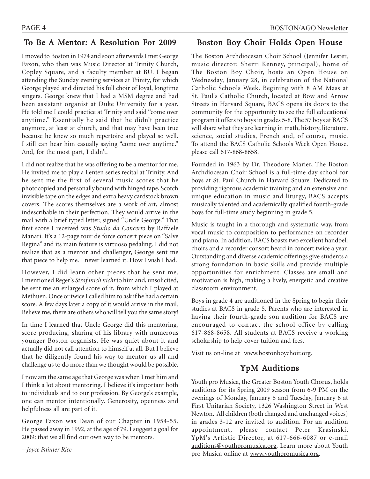### To Be A Mentor: A Resolution For 2009

I moved to Boston in 1974 and soon afterwards I met George Faxon, who then was Music Director at Trinity Church, Copley Square, and a faculty member at BU. I began attending the Sunday evening services at Trinity, for which George played and directed his full choir of loyal, longtime singers. George knew that I had a MSM degree and had been assistant organist at Duke University for a year. He told me I could practice at Trinity and said "come over anytime." Essentially he said that he didn't practice anymore, at least at church, and that may have been true because he knew so much repertoire and played so well. I still can hear him casually saying "come over anytime." And, for the most part, I didn't.

I did not realize that he was offering to be a mentor for me. He invited me to play a Lenten series recital at Trinity. And he sent me the first of several music scores that he photocopied and personally bound with hinged tape, Scotch invisible tape on the edges and extra heavy cardstock brown covers. The scores themselves are a work of art, almost indescribable in their perfection. They would arrive in the mail with a brief typed letter, signed "Uncle George." That first score I received was *Studio da Concerto* by Raffaele Manari. It's a 12-page tour de force concert piece on "Salve Regina" and its main feature is virtuoso pedaling. I did not realize that as a mentor and challenger, George sent me that piece to help me. I never learned it. How I wish I had.

However, I did learn other pieces that he sent me. I mentioned Reger's *Straf mich nicht* to him and, unsolicited, he sent me an enlarged score of it, from which I played at Methuen. Once or twice I called him to ask if he had a certain score. A few days later a copy of it would arrive in the mail. Believe me, there are others who will tell you the same story!

In time I learned that Uncle George did this mentoring, score producing, sharing of his library with numerous younger Boston organists. He was quiet about it and actually did not call attention to himself at all. But I believe that he diligently found his way to mentor us all and challenge us to do more than we thought would be possible.

I now am the same age that George was when I met him and I think a lot about mentoring. I believe it's important both to individuals and to our profession. By George's example, one can mentor intentionally. Generosity, openness and helpfulness all are part of it.

George Faxon was Dean of our Chapter in 1954-55. He passed away in 1992, at the age of 79. I suggest a goal for 2009: that we all find our own way to be mentors.

*--Joyce Painter Rice*

### Boston Boy Choir Holds Open House

The Boston Archdiocesan Choir School (Jennifer Lester, music director; Sherri Kenney, principal), home of The Boston Boy Choir, hosts an Open House on Wednesday, January 28, in celebration of the National Catholic Schools Week. Begining with 8 AM Mass at St. Paul's Catholic Church, located at Bow and Arrow Streets in Harvard Square, BACS opens its doors to the community for the opportunity to see the full educational program it offers to boys in grades 5-8. The 57 boys at BACS will share what they are learning in math, history, literature, science, social studies, French and, of course, music. To attend the BACS Catholic Schools Week Open House, please call 617-868-8658.

Founded in 1963 by Dr. Theodore Marier, The Boston Archdiocesan Choir School is a full-time day school for boys at St. Paul Church in Harvard Square. Dedicated to providing rigorous academic training and an extensive and unique education in music and liturgy, BACS accepts musically talented and academically qualified fourth-grade boys for full-time study beginning in grade 5.

Music is taught in a thorough and systematic way, from vocal music to composition to performance on recorder and piano. In addition, BACS boasts two excellent handbell choirs and a recorder consort heard in concert twice a year. Outstanding and diverse academic offerings give students a strong foundation in basic skills and provide multiple opportunities for enrichment. Classes are small and motivation is high, making a lively, energetic and creative classroom environment.

Boys in grade 4 are auditioned in the Spring to begin their studies at BACS in grade 5. Parents who are interested in having their fourth-grade son audition for BACS are encouraged to contact the school office by calling 617-868-8658. All students at BACS receive a working scholarship to help cover tuition and fees.

Visit us on-line at www.bostonboychoir.org.

### YpM Auditions

Youth pro Musica, the Greater Boston Youth Chorus, holds auditions for its Spring 2009 season from 6-9 PM on the evenings of Monday, January 5 and Tuesday, January 6 at First Unitarian Society, 1326 Washington Street in West Newton. All children (both changed and unchanged voices) in grades 3-12 are invited to audition. For an audition appointment, please contact Peter Krasinski, YpM's Artistic Director, at 617-666-6087 or e-mail auditions@youthpromusica.org. Learn more about Youth pro Musica online at www.youthpromusica.org.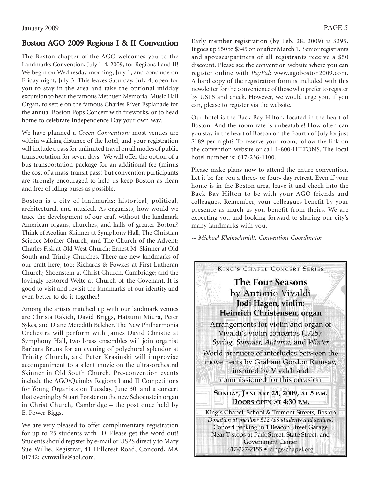### Boston AGO 2009 Regions I & II Convention

The Boston chapter of the AGO welcomes you to the Landmarks Convention, July 1-4, 2009, for Regions I and II! We begin on Wednesday morning, July 1, and conclude on Friday night, July 3. This leaves Saturday, July 4, open for you to stay in the area and take the optional midday excursion to hear the famous Methuen Memorial Music Hall Organ, to settle on the famous Charles River Esplanade for the annual Boston Pops Concert with fireworks, or to head home to celebrate Independence Day your own way.

We have planned a *Green Convention:* most venues are within walking distance of the hotel, and your registration will include a pass for unlimited travel on all modes of public transportation for seven days. We will offer the option of a bus transportation package for an additional fee (minus the cost of a mass-transit pass) but convention participants are strongly encouraged to help us keep Boston as clean and free of idling buses as possible.

Boston is a city of landmarks: historical, political, architectural, and musical. As organists, how would we trace the development of our craft without the landmark American organs, churches, and halls of greater Boston? Think of Aeolian-Skinner at Symphony Hall, The Christian Science Mother Church, and The Church of the Advent; Charles Fisk at Old West Church; Ernest M. Skinner at Old South and Trinity Churches. There are new landmarks of our craft here, too: Richards & Fowkes at First Lutheran Church; Shoenstein at Christ Church, Cambridge; and the lovingly restored Welte at Church of the Covenant. It is good to visit and revisit the landmarks of our identity and even better to do it together!

Among the artists matched up with our landmark venues are Christa Rakich, David Briggs, Hatsumi Miura, Peter Sykes, and Diane Meredith Belcher. The New Philharmonia Orchestra will perform with James David Christie at Symphony Hall, two brass ensembles will join organist Barbara Bruns for an evening of polychoral splendor at Trinity Church, and Peter Krasinski will improvise accompaniment to a silent movie on the ultra-orchestral Skinner in Old South Church. Pre-convention events include the AGO/Quimby Regions I and II Competitions for Young Organists on Tuesday, June 30, and a concert that evening by Stuart Forster on the new Schoenstein organ in Christ Church, Cambridge – the post once held by E. Power Biggs.

We are very pleased to offer complimentary registration for up to 25 students with ID. Please get the word out! Students should register by e-mail or USPS directly to Mary Sue Willie, Registrar, 41 Hillcrest Road, Concord, MA 01742; cvmwillie@aol.com.

Early member registration (by Feb. 28, 2009) is \$295. It goes up \$50 to \$345 on or after March 1. Senior registrants and spouses/partners of all registrants receive a \$50 discount. Please see the convention website where you can register online with *PayPal*: www.agoboston2009.com. A hard copy of the registration form is included with this newsletter for the convenience of those who prefer to register by USPS and check. However, we would urge you, if you can, please to register via the website.

Our hotel is the Back Bay Hilton, located in the heart of Boston. And the room rate is unbeatable! How often can you stay in the heart of Boston on the Fourth of July for just \$189 per night? To reserve your room, follow the link on the convention website or call 1-800-HILTONS. The local hotel number is: 617-236-1100.

Please make plans now to attend the entire convention. Let it be for you a three- or four- day retreat. Even if your home is in the Boston area, leave it and check into the Back Bay Hilton to be with your AGO friends and colleagues. Remember, your colleagues benefit by your presence as much as you benefit from theirs. We are expecting you and looking forward to sharing our city's many landmarks with you.

*-- Michael Kleinschmidt, Convention Coordinator*

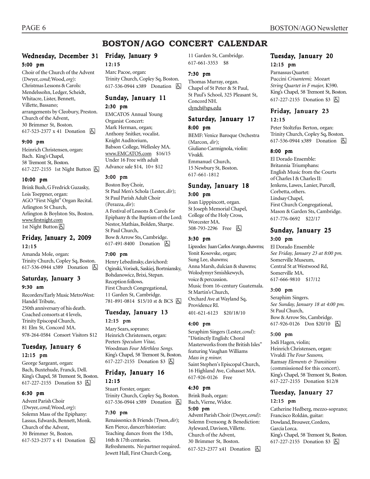### **BOSTON/AGO CONCERT CALENDAR**

### Wednesday, December 31 Friday, January 9

#### 5:00 pm

Choir of the Church of the Advent (Dwyer, *cond*; Wood, *org*): Christmas Lessons & Carols: Mendelssohn, Ledger, Scheidt, Whitacre, Lister, Bennett, Villette, Bassano; arrangements by Cleobury, Preston. Church of the Advent, 30 Brimmer St, Boston. 617-523-2377 x 41 Donation h

#### 9:00 pm

Heinrich Christensen, organ: Bach. King's Chapel, 58 Tremont St, Boston. 617-227-2155 1st Night Button  $\boxed{6}$ 

#### 10:00 pm

Brink Bush, G Fredrick Guzasky, Lois Toeppner, organ: AGO "First Night" Organ Recital. Arlington St Church, Arlington & Boylston Sts, Boston. www.firstnight.com 1st Night Button

#### Friday, January 2, 2009 12:15

Amanda Mole, organ: Trinity Church, Copley Sq, Boston. 617-536-0944 x389 Donation **A** 

### Saturday, January 3

#### 9:30 am

Recorders/Early Music MetroWest: Handel Tribute, 250th anniversary of his death. Coached consorts at 4 levels, Trinity Episcopal Church, 81 Elm St, Concord MA. 978-264-0584 Consort Visitors \$12

#### Tuesday, January 6

12:15 pm

George Sargeant, organ: Bach, Buxtehude, Franck, Dell. King's Chapel, 58 Tremont St, Boston. 617-227-2155 Donation \$3 **b** 

#### 6:30 pm

Advent Parish Choir (Dwyer, *cond*; Wood, *org*): Solemn Mass of the Epiphany: Lassus, Edwards, Bennett, Monk. Church of the Advent, 30 Brimmer St, Boston. 617-523-2377 x 41 Donation  $\boxed{6}$ 

#### 12:15 Marc Pacoe, organ:

Trinity Church, Copley Sq, Boston. 617-536-0944 x389 Donation h

#### Sunday, January 11

2:30 pm

EMCATOS Annual Young Organist Concert: Mark Herman, organ; Anthony Snitker, vocalist. Knight Auditorium, Babson College, Wellesley MA. www.EMCATOS.com \$16/15 Under 16 Free with adult Advance sale \$14, 10+ \$12

#### 3:00 pm

Boston Boy Choir, St Paul Men's Schola (Lester, *dir*); St Paul Parish Adult Choir (Perazza, *dir*): A Festival of Lessons & Carols for Epiphany & the Baptism of the Lord: Nestor, Mathias, Bolden, Sharpe. St Paul Church, Bow & Arrow Sts, Cambridge. 617-491-8400 Donation **b** 

#### 7:00 pm

Henry Lebedinsky, clavichord: Oginski, Vorisek, Saskiej, Bortniansky, Bohdanowicz, Brixi, Stepan. Reception follows. First Church Congregational, 11 Garden St, Cambridge. 781-891-0814 \$15/10 st & BCS 4

#### Tuesday, January 13 12:15 pm

Mary Sears, soprano; Heinrich Christensen, organ: Peeters *Speculum Vitae,* Woodman *Four Mirthless Songs.* King's Chapel, 58 Tremont St, Boston. 617-227-2155 Donation \$3 **A** 

#### Friday, January 16 12:15

Stuart Forster, organ: Trinity Church, Copley Sq, Boston. 617-536-0944 x389 Donation h

#### 7:30 pm

Renaissonics & Friends (Tyson, *dir*); Ken Pierce, dancer/historian: Teaching dances from the 15th, 16th & 17th centuries. Refreshments. No partner required. Jewett Hall, First Church Cong,

11 Garden St, Cambridge. 617-661-3353 \$8

#### 7:30 pm

Thomas Murray, organ. Chapel of St Peter & St Paul, St Paul's School, 325 Pleasant St, Concord NH. clynch@sps.edu

### Saturday, January 17

8:00 pm BEMF: Venice Baroque Orchestra (Marcon, *dir*); Giuliano Carmignola, violin: Vivaldi. Emmanuel Church, 15 Newbury St, Boston. 617-661-1812

### Sunday, January 18

#### 3:00 pm

Joan Lipppincott, organ. St Joseph Memorial Chapel, College of the Holy Cross, Worcester MA. 508-793-2296 Free 因

#### 3:30 pm

Lipzodes: Juan Carlos Arango, shawms; Yonit Kosovske, organ; Sung Lee, shawms; Anna Marsh, dulcian & shawms; Wolodymyr Smishkewych, voice & percussion. Music from 16-century Guatemala. St Martin's Church, Orchard Ave at Wayland Sq, Providence RI. 401-621-6123 \$20/18/10

#### 4:00 pm

Seraphim Singers (Lester, *cond*): "Distinctly English: Choral Masterworks from the British Isles" featuring Vaughan Williams *Mass in g minor.* Saint Stephen's Episcopal Church, 16 Highland Ave, Cohasset MA. 617-926-0126 Free

#### 4:30 pm

Brink Bush, organ: Bach, Vierne, Widor. 5:00 pm Advent Parish Choir (Dwyer, *cond)*: Solemn Evensong & Benediction: Ayleward, Davison, Villette. Church of the Advent,

30 Brimmer St, Boston.

617-523-2377 x41 Donation **b** 

#### Tuesday, January 20 12:15 pm

#### Parnassus Quartet: Puccini *Crisantemi;* Mozart *String Quartet in F major,* K590. King's Chapel, 58 Tremont St, Boston. 617-227-2155 Donation \$3 因

#### Friday, January 23 12:15

Peter Stoltzfus Berton, organ: Trinity Church, Copley Sq, Boston. 617-536-0944 x389 Donation **b** 

#### 8:00 pm

El Dorado Ensemble: Britannia Triumphans: English Music from the Courts of Charles I & Charles II: Jenkens, Lawes, Lanier, Purcell, Corbetta, others. Lindsay Chapel, First Church Congregational, Mason & Garden Sts, Cambridge. 617-776-0692 \$22/17

### Sunday, January 25

#### 3:00 pm

El Dorado Ensemble *See Friday, January 23 at 8:00 pm.* Somerville Museum, Central St at Westwood Rd, Somerville MA. 617-666-9810 \$17/12

#### 3:00 pm

Seraphim Singers. *See Sunday, January 18 at 4:00 pm.* St Paul Church, Bow & Arrow Sts, Cambridge. 617-926-0126 Don \$20/10 | A

#### 5:00 pm

Jodi Hagen, violin; Heinrich Christensen, organ: Vivaldi *The Four Seasons,* Ramsay *Elements & Transitions* (commissioned for this concert). King's Chapel, 58 Tremont St, Boston. 617-227-2155 Donation \$12/8

### Tuesday, January 27

#### 12:15 pm

Catherine Hedberg, mezzo-soprano; Francisco Roldán, guitar: Dowland, Brouwer, Cordero, García Lorca. King's Chapel, 58 Tremont St, Boston. 617-227-2155 Donation \$3 因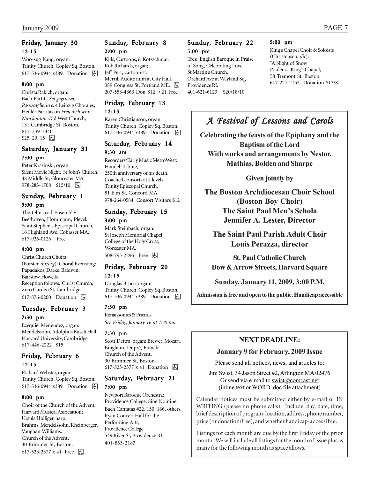#### Friday, January 30 12:15

Woo-sug Kang, organ: Trinity Church, Copley Sq, Boston. 617-536-0944 x389 Donation **b** 

#### 8:00 pm

Christa Rakich, organ: Bach Partita *Sei gegrüsset, Passacaglia in c,* 4 Leipzig Chorales; Heiller Partitas on *Freu dich sehr, Nun komm.* Old West Church, 131 Cambridge St, Boston. 617-739-1340  $$25, 20, 15$  [5]

### Saturday, January 31 7:00 pm

Peter Krasinski, organ: Silent Movie Night. St John's Church, 48 Middle St, Gloucester MA. 978-283-1708 \$15/10 | 5

#### Sunday, February 1 3:00 pm

The Olmstead Ensemble: Beethoven, Hommann, Pleyel. Saint Stephen's Episcopal Church, 16 Highland Ave, Cohasset MA. 617-926-0126 Free

#### 4:00 pm

Christ Church Choirs (Forster, *dir/org*): Choral Evensong: Papadakos, Darke, Baldwin, Bairstow, Howells. Reception follows. Christ Church, Zero Garden St, Cambridge. 617-876-0200 Donation **b** 

#### Tuesday, February 3 7:30 pm

Ezequiel Menendez, organ: Mendelssohn. Adolphus Busch Hall, Harvard University, Cambridge. 617-446-2222 \$15

#### Friday, February 6 12:15

Richard Webster, organ: Trinity Church, Copley Sq, Boston. 617-536-0944 x389 Donation h

#### 8:00 pm

Choir of the Church of the Advent; Harvard Musical Association; Ursula Holliger, harp: Brahms, Mendelssohn, Rheinberger, Vaughan Williams. Church of the Advent, 30 Brimmer St, Boston. 617-523-2377 x 41 Free 因

#### Sunday, February 8 2:00 pm

Kids, Cartoons, & Kotzschmar: Rob Richards, organ; Jeff Pert, cartoonist. Merrill Auditorium at City Hall, 389 Congress St, Portland ME. [5] 207-553-4363 Don \$12, <21 Free

#### Friday, February 13 12:15

Karen Christianson, organ: Trinity Church, Copley Sq, Boston. 617-536-0944 x389 Donation **囚** 

#### Saturday, February 14 9:30 am

Recorders/Early Music MetroWest: Handel Tribute, 250th anniversary of his death. Coached consorts at 4 levels, Trinity Episcopal Church, 81 Elm St, Concord MA. 978-264-0584 Consort Visitors \$12

#### Sunday, February 15 3:00 pm

Mark Steinbach, organ. St Joseph Memorial Chapel, College of the Holy Cross, Worcester MA. 508-793-2296 Free 因

#### Friday, February 20 12:15

Douglas Bruce, organ: Trinity Church, Copley Sq, Boston. 617-536-0944 x389 Donation h

#### 7:30 pm

Renaissonics & Friends. *See Friday, January 16 at 7:30 pm.*

#### 7:30 pm

Scott Dettra, organ: Brewer, Mozart, Bingham, Dupré, Franck. Church of the Advent, 30 Brimmer St, Boston. 617-523-2377 x 41 Donation **b** 

#### Saturday, February 21 7:00 pm

Newport Baroque Orchestra; Providence College; Sine Nomine: Bach Cantatas #22, 150, 166, others. Ryan Concert Hall for the Performing Arts, Providence College, 549 River St, Providence RI. 401-865-2183

#### Sunday, February 22 5:00 pm

Très: English Baroque in Praise of Song, Celebrating Love. St Martin's Church, Orchard Ave at Wayland Sq, Providence RI. 401-621-6123 \$20/18/10

#### 5:00 pm

King's Chapel Choir & Soloists (Christensen, *dir*): "A Night of Snow": Poulenc. King's Chapel, 58 Tremont St, Boston. 617-227-2155 Donation \$12/8

## *A Festival of Lessons and Carols Lessons Carols*

**Celebrating the feasts of the Epiphany and the Baptism of the Lord With works and arrangements by Nestor, Mathias, Bolden and Sharpe**

#### **Given jointly by**

**The Boston Archdiocesan Choir School (Boston Boy Choir) The Saint Paul Men's Schola Jennifer A. Lester, Director**

**The Saint Paul Parish Adult Choir Louis Perazza, director**

**St. Paul Catholic Church Bow & Arrow Streets, Harvard Square**

**Sunday, January 11, 2009, 3:00 P.M.**

**Admission is free and open to the public. Handicap accessible**

### **NEXT DEADLINE:**

#### **January 9 for February, 2009 Issue**

Please send all notices, news, and articles to:

Jim Swist, 34 Jason Street #2, Arlington MA 02476 Or send via e-mail to  $\frac{\text{swist}(a) \text{comest.net}}{}$ (inline text or WORD .doc file attachment)

Calendar notices must be submitted either by e-mail or IN WRITING (please no phone calls). Include: day, date, time, brief description of program, location, address, phone number, price (or donation/free), and whether handicap-accessible.

Listings for each month are due by the first Friday of the prior month. We will include all listings for the month of issue plus as many for the following month as space allows.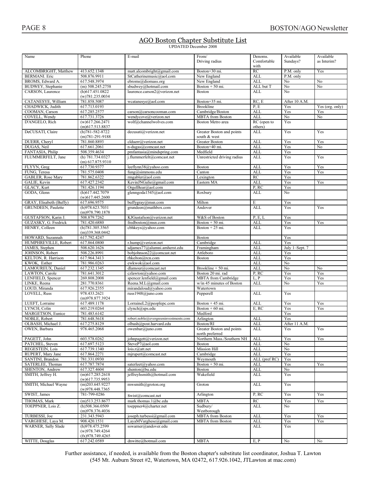#### AGO Boston Chapter Substitute List **UPDATED** December 2008

| Name                       | Phone                                 | E-mail                                | From/<br>Driving radius     | Denoms.<br>Comfortable<br>with | Available<br>Sundays?  | Available<br>as Interim? |
|----------------------------|---------------------------------------|---------------------------------------|-----------------------------|--------------------------------|------------------------|--------------------------|
|                            |                                       |                                       |                             |                                |                        |                          |
| ALCOMBRIGHT, Matthew       | 413.652.1348                          | matt.alcombright@gmail.com            | Boston+30 mi.               | RC                             | P.M. only              | Yes                      |
| <b>BERMANI</b> . Eric      | 508.876.9911                          | StCatherinemusic@aol.com              | New England                 | <b>ALL</b>                     | $\overline{P.M.}$ only |                          |
| BROMS, Edward A.           | 617.548.3974                          | ebroms@diomass.org                    | New England                 | <b>ALL</b>                     | No                     | No                       |
| BUDWEY, Stephanie          | $(m)$ 508.245.2758                    | sbudwey@hotmail.com                   | Boston $+50$ mi.            | ALL but T                      | No                     | No                       |
| CARSON, Laurence           | $(h)$ 617.451.0822<br>(w)781.235.0034 | laurence.carson2@verizon.net          | Boston                      | ALL                            | N <sub>0</sub>         |                          |
| CATANESYE, William         | 781.858.5087                          | wcatanesye@aol.com                    | Boston+35 mi.               | RC, E                          | After 10 A.M.          |                          |
| CHADWICK, Judith           | 617.713.0193                          |                                       | <b>Brookline</b>            | P, E                           | Yes                    | Yes (org. only)          |
| COOMAN, Carson             | 617.285.2577                          | carson@carsoncooman.com               | Cambridge/Boston            | <b>ALL</b>                     | Yes                    | Yes                      |
| COVELL, Wendy              | 617.731.3726                          | wendycove@verizon.net                 | <b>MBTA</b> from Boston     | <b>ALL</b>                     | No                     | No                       |
| D'ANGELO, Rich             | $(w)$ 617.266.2471                    | wolf@channelwolves.com                | <b>Boston Metro area</b>    | RC (open to                    | Yes                    |                          |
|                            | $(m)$ 617.513.8837                    |                                       |                             | others)                        |                        |                          |
| DeCUSATI, Claire           | $(h)781 - 582 - 8722$                 | decusati@verizon.net                  | Greater Boston and points   | <b>ALL</b>                     | Yes                    | Yes                      |
|                            | $(m)781-291-9188$                     |                                       | south & west                |                                |                        |                          |
| DUERR, Cheryl              | 781.860.8893                          | clduerr@verizon.net                   | <b>Greater Boston</b>       | <b>ALL</b>                     | Yes                    | Yes                      |
| DUGAS, Neil                | 617.661.2061                          | n-dugas@comcast.net                   | Boston+40 mi.               | <b>ALL</b>                     | Yes                    | No                       |
| FANTASIA, Philip           | 508.359.4634                          | $p$ mfantasia@mindspring.com          | Medfield                    | <b>ALI</b>                     | Yes                    |                          |
| FLUMMERFELT, Jane          | (h) 781.734.0327                      | j.flummerfelt@comcast.net             | Unrestricted driving radius | <b>ALL</b>                     | Yes                    | Yes                      |
|                            | $(m)$ 617.875.9310                    |                                       |                             |                                |                        |                          |
| FLYYN, Greg                | 617.730.9377                          | leeflynn38@yahoo.com                  | Boston                      | <b>ALI</b>                     | Yes                    | Yes                      |
| FUNG, Teresa               | 781.575.0408                          | $fung@sim$ mons.edu                   | Canton                      | <b>ALL</b>                     | Yes                    | Yes                      |
| <b>GABLER, Rose Mary</b>   | 781.862.6322                          | rmgabler@aol.com                      | Lexington                   | <b>RC</b>                      | Yes                    |                          |
| GALIE, Kevin               | 617.427.2342                          | KevinJNGalie@gmail.com                | Eastern MA                  | <b>ALL</b>                     | Yes                    | Yes                      |
| GLACY, Kurt                | 781.426.1194                          | OrgelBear@aol.com                     |                             | P, RC                          | Yes                    |                          |
| GODA, Glenn                | (h)617.442.7079                       | glenngoda1545@aol.com                 | Roxbury                     | <b>ALL</b>                     | No                     |                          |
|                            | $(w)$ 617.445.2600                    |                                       |                             |                                |                        |                          |
| GRAY, Elisabeth (Buffy)    | 617.696.9575                          | buffygray@msn.com                     | Milton                      | E                              | Yes                    |                          |
| <b>GRUNDEEN, Paulette</b>  | (h)978.623.7031                       | grundeen@mathbox.com                  | Andover                     | <b>ALL</b>                     | Yes                    | Yes                      |
|                            | (m)978.790.1878                       |                                       |                             |                                |                        |                          |
|                            |                                       | KJGustafson@verizon.net               | W&S of Boston               |                                |                        |                          |
| GUSTAFSON, Karin J.        | 508.879.7262                          |                                       |                             | P, E, L                        | Yes                    |                          |
| GUZASKY, G. Fredrick       | 781.420.6880                          | fredboston@msn.com                    | Boston + 50 mi.             | <b>ALL</b>                     | Yes                    | Yes                      |
| HENRY, Colleen             | (h)781.305.3565                       | cbhkeys@yahoo.com                     | Boston $+25$ mi.            | <b>ALL</b>                     | Yes                    |                          |
|                            | $(m)$ 339.368.0442                    |                                       |                             |                                |                        |                          |
| HOWARD, Suzannah           | 617.792.4247                          |                                       | Boston                      |                                | Yes                    |                          |
| HUMPHREVILLE, Robert       | 617.864.0800                          | r.hump@verizon.net                    | Cambridge                   | <b>ALL</b>                     | Yes                    |                          |
| JAMES, Stephen             | 508.620.1626                          | sdjames77@alumni.amherst.edu          | Framingham                  | <b>ALI</b>                     | July 1-Sept. 7         |                          |
| JOHNSON, Robert            | 508.226.8991                          | bobjohnson22@comcast.net              | Attleboro                   | <b>ALL</b>                     | Yes                    |                          |
| KELTON, R. Harrison        | 617.964.3413                          | rhkelton@rcn.com                      | Boston                      | <b>ALL</b>                     | Yes                    |                          |
| KWOK, Esther               | 781.986.0263                          | ewkwok@aol.com                        |                             | <b>ALL</b>                     | No                     |                          |
| LAMOUREUX, Daniel          | 617.232.1345                          | dlamour@comcast.net                   | Brookline + 50 mi.          | <b>ALL</b>                     | $\overline{No}$        | No                       |
| LAWTON, Carole             | 781.641.3012                          | czlawton@yahoo.com                    | Boston 20 mi. rad           | P, RC                          | Yes                    | Yes                      |
| LENFIELD, Spencer          | 269.808.2008                          | spencer.lenfield@gmail.com            | <b>MBTA</b> from Cambridge  | L, P                           | Yes                    | Yes                      |
| LINKE, Reena               | 281.770.8361                          | Reena.M.L@gmail.com                   | w/in 45 minutes of Boston   | <b>ALI</b>                     | No                     | Yes                      |
| LOUD. Miranda              | 617.926.2355                          | mirandaloud@yahoo.com                 | Watertown                   |                                |                        |                          |
| LOVELL, Russ               | 978.433.2621                          | russ1948@juno.com                     | Pepperell                   | <b>ALL</b>                     | Yes                    |                          |
|                            | (m)978.877.3924                       |                                       |                             |                                |                        |                          |
| LUEFT, Lorraine            | 617.489.1178                          | LorraineL2@peoplepc.com               | Boston $+45$ mi.            | <b>ALL</b>                     | Yes                    | Yes                      |
| LYNCH, Colin               | 603.219.0264                          | clynch@sps.edu                        | Boston $+60$ mi.            | E, RC                          | Yes                    | Yes                      |
| MARGETSON, Eunice          | 781.483.6142                          |                                       | Medford                     |                                | Yes                    |                          |
| NOBLE, Robert              | 781.648.5618                          | robert.noble@evergreeninvestments.com | Arlington                   | <b>ALL</b>                     | Yes                    |                          |
| OLBASH, Michael J.         | 617.275.8129                          | olbash@post.harvard.edu               | Boston/RI                   | ALL                            | After II A.M.          |                          |
| OWEN, Barbara              | 978.465.2068                          | owenbar@juno.com                      | Greater Boston and points   | ALL                            | Yes                    | Yes                      |
|                            |                                       |                                       | north preferred             |                                |                        |                          |
| PAGETT, John               | 603.578.0262                          | johnpagett@verizon.net                | Northern Mass./Southern NH  | ALL                            | Yes                    | Yes                      |
| PATCHEL, Steven            | 617.697.5123                          | SteveP7@aol.com                       | <b>Boston</b>               | <b>ALL</b>                     | No                     |                          |
| REGESTEIN, Lois            | 617.739.1340                          | lois.r@att.net                        | <b>Mission Hill</b>         | <b>ALL</b>                     | No                     |                          |
| RUPERT, Mary Jane          | 617.864.2271                          | mjrupert@comcast.net                  | Cambridge                   | <b>ALL</b>                     | Yes                    |                          |
| SANTINI, Brandon           | 781.331.0930                          |                                       | Weymouth                    | ALL (pref RC)                  | Yes                    |                          |
| SATERLEE, Thomas           | 617.787.7874                          | saterleet@yahoo.com                   | Boston $+50$ mi.            | ALL                            | Yes                    | Yes                      |
| SHENTON, Andrew            | 617.327.4604                          | shenton@bu.edu                        | <b>Boston</b>               | ALL                            | No                     |                          |
| SMITH, Jeffrey H.          | $(m)$ 617.285.2618                    | jeffreyhsmith@hotmail.com             | Wakefield                   | ALL                            | Yes                    |                          |
|                            | $(w)$ 617.735.9953                    |                                       |                             |                                |                        |                          |
| SMITH, Michael Wayne       | $(m)$ 203.645.9227                    | mwsmith@groton.org                    | Groton                      | ALL                            | Yes                    |                          |
|                            | (w)978.448.7365                       |                                       |                             |                                |                        |                          |
| SWIST, James               | 781-799-0286                          | Swist@comcast.net                     | Arlington                   | P, RC                          | Yes                    | Yes                      |
|                            |                                       |                                       |                             |                                |                        |                          |
| THOMAS, Mark               | $(m)$ 513.253.8677                    | mark.thomas.1@bc.edu                  | <b>MBTA</b>                 | RC                             | Yes                    | Yes                      |
| TOEPPNER, Lois Z.          | $(h)$ 508.366.0509                    | toeppner4@charter.net                 | Sudbury/                    | ALL                            | No                     |                          |
|                            | (m)978.376.4036                       |                                       | Westborough                 |                                |                        |                          |
| TURBESSI, Joe              | 231.343.5943                          | joseph.turbessi@gmail.com             | <b>MBTA</b> from Boston     | <b>ALL</b>                     | Yes                    | Yes                      |
| VARGHESE, Laya M.          | 908.420.1531                          | LayaMVarghese@gmail.com               | <b>MBTA</b> from Boston     | ALL                            | Yes                    | Yes                      |
| <b>WARNER, Sally Slade</b> | (h)978.475.2599                       | sswarner@andover.edu                  |                             | <b>ALL</b>                     | Yes                    |                          |
|                            | (w)978.749.4264                       |                                       |                             |                                |                        |                          |
|                            | (fx)978.749.4265                      |                                       |                             |                                |                        |                          |
| WITTE, Douglas             | 617.242.0589                          | dnwitte@hotmail.com                   | <b>MBTA</b>                 | E.P                            | N <sub>0</sub>         | N <sub>0</sub>           |

Further assistance, if needed, is available from the Boston chapter's substitute list coordinator, Joshua T. Lawton  $(545 \text{ Mt}$ . Auburn Street #2, Watertown, MA 02472, 617,926,1042, JTLawton at mac.com)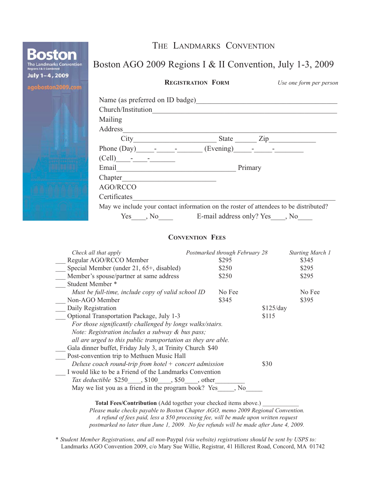|                                                                                 | THE LANDMARKS CONVENTION                                                                                        |  |  |  |
|---------------------------------------------------------------------------------|-----------------------------------------------------------------------------------------------------------------|--|--|--|
| <b>Boston</b><br>The Landmarks Convention<br><b>Regions I &amp; II Combined</b> | Boston AGO 2009 Regions I & II Convention, July 1-3, 2009                                                       |  |  |  |
| July 1-4, 2009<br>agoboston2009.com                                             | <b>REGISTRATION FORM</b><br>Use one form per person                                                             |  |  |  |
|                                                                                 | Name (as preferred on ID badge) Manual Manual Manual Manual Manual Manual Manual Manual Manual Manual Manual Ma |  |  |  |
|                                                                                 | Church/Institution                                                                                              |  |  |  |
|                                                                                 | Mailing                                                                                                         |  |  |  |
|                                                                                 | Address                                                                                                         |  |  |  |
|                                                                                 |                                                                                                                 |  |  |  |
|                                                                                 |                                                                                                                 |  |  |  |
|                                                                                 |                                                                                                                 |  |  |  |
|                                                                                 | Primary                                                                                                         |  |  |  |
|                                                                                 |                                                                                                                 |  |  |  |
|                                                                                 | AGO/RCCO                                                                                                        |  |  |  |
|                                                                                 | Certificates                                                                                                    |  |  |  |
|                                                                                 | May we include your contact information on the roster of attendees to be distributed?                           |  |  |  |
|                                                                                 | Yes, No E-mail address only? Yes, No                                                                            |  |  |  |

#### **CONVENTION FEES**

| Check all that apply                                             | Postmarked through February 28 |           | <b>Starting March 1</b> |  |  |  |
|------------------------------------------------------------------|--------------------------------|-----------|-------------------------|--|--|--|
| Regular AGO/RCCO Member                                          | \$295                          |           | \$345                   |  |  |  |
| Special Member (under 21, 65+, disabled)                         | \$250                          |           | \$295                   |  |  |  |
| Member's spouse/partner at same address                          | \$250                          |           | \$295                   |  |  |  |
| Student Member *                                                 |                                |           |                         |  |  |  |
| Must be full-time, include copy of valid school ID               | No Fee                         |           | No Fee                  |  |  |  |
| Non-AGO Member                                                   | \$345                          |           | \$395                   |  |  |  |
| Daily Registration                                               |                                | \$125/day |                         |  |  |  |
| Optional Transportation Package, July 1-3                        |                                | \$115     |                         |  |  |  |
| For those significantly challenged by longs walks/stairs.        |                                |           |                         |  |  |  |
| Note: Registration includes a subway & bus pass;                 |                                |           |                         |  |  |  |
| all are urged to this public transportation as they are able.    |                                |           |                         |  |  |  |
| Gala dinner buffet, Friday July 3, at Trinity Church \$40        |                                |           |                         |  |  |  |
| Post-convention trip to Methuen Music Hall                       |                                |           |                         |  |  |  |
| Deluxe coach round-trip from hotel $+$ concert admission<br>\$30 |                                |           |                         |  |  |  |
| I would like to be a Friend of the Landmarks Convention          |                                |           |                         |  |  |  |
| Tax deductible \$250, \$100, \$50, other                         |                                |           |                         |  |  |  |
| May we list you as a friend in the program book? Yes             | . No                           |           |                         |  |  |  |

Total Fees/Contribution (Add together your checked items above.)

*Please make checks payable to Boston Chapter AGO, memo 2009 Regional Convention. A refund of fees paid, less a \$50 processing fee, will be made upon written request postmarked no later than June 1, 2009. No fee refunds will be made after June 4, 2009.*

*\* Student Member Registrations, and all non-*Paypal *(via website) registrations should be sent by USPS to:* Landmarks AGO Convention 2009, c/o Mary Sue Willie, Registrar, 41 Hillcrest Road, Concord, MA 01742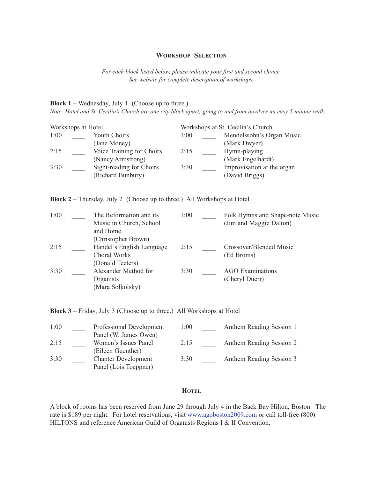#### **WORKSHOP SELECTION**

*For each block listed below, please indicate your first and second choice. See website for complete description of workshops.*

**Block 1** – Wednesday, July 1 (Choose up to three.)

*Note: Hotel and St. Cecilia's Church are one city block apart; going to and from involves an easy 5-minute walk.*

| Workshops at Hotel |  |                           |      | Workshops at St. Cecilia's Church |                            |  |  |
|--------------------|--|---------------------------|------|-----------------------------------|----------------------------|--|--|
| 1:00               |  | <b>Youth Choirs</b>       | 1:00 |                                   | Mendelssohn's Organ Music  |  |  |
|                    |  | (Jane Money)              |      |                                   | (Mark Dwyer)               |  |  |
| 2:15               |  | Voice Training for Choirs | 2:15 |                                   | Hymn-playing               |  |  |
|                    |  | (Nancy Armstrong)         |      |                                   | (Mark Engelhardt)          |  |  |
| 3:30               |  | Sight-reading for Choirs  | 3:30 |                                   | Improvisation at the organ |  |  |
|                    |  | (Richard Bunbury)         |      |                                   | (David Briggs)             |  |  |

**Block 2** – Thursday, July 2 (Choose up to three.) All Workshops at Hotel

| 1:00 | The Reformation and its   | 1:00 | Folk Hymns and Shape-note Music |
|------|---------------------------|------|---------------------------------|
|      | Music in Church, School   |      | (Jim and Maggie Dalton)         |
|      | and Home                  |      |                                 |
|      | (Christopher Brown)       |      |                                 |
| 2:15 | Handel's English Language | 2:15 | Crossover/Blended Music         |
|      | Choral Works              |      | (Ed Broms)                      |
|      | (Donald Teeters)          |      |                                 |
| 3:30 | Alexander Method for      | 3:30 | <b>AGO</b> Examinations         |
|      | Organists                 |      | (Cheryl Duerr)                  |
|      | (Mara Solkolsky)          |      |                                 |

**Block 3** – Friday, July 3 (Choose up to three.) All Workshops at Hotel

| 1:00 | Professional Development   | 1:00 | Anthem Reading Session 1 |
|------|----------------------------|------|--------------------------|
|      | Panel (W. James Owen)      |      |                          |
| 2:15 | Women's Issues Panel       | 2:15 | Anthem Reading Session 2 |
|      | (Eileen Guenther)          |      |                          |
| 3:30 | <b>Chapter Development</b> | 3:30 | Anthem Reading Session 3 |
|      | Panel (Lois Toeppner)      |      |                          |

#### **HOTEL**

A block of rooms has been reserved from June 29 through July 4 in the Back Bay Hilton, Boston. The rate is \$189 per night. For hotel reservations, visit www.agoboston2009.com or call toll-free (800) HILTONS and reference American Guild of Organists Regions I & II Convention.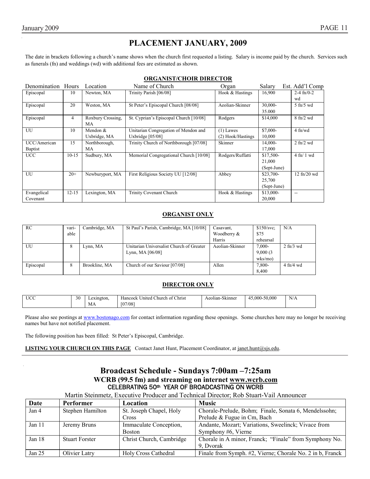### **PLACEMENT JANUARY, 2009**

The date in brackets following a church's name shows when the church first requested a listing. Salary is income paid by the church. Services such as funerals (fn) and weddings (wd) with additional fees are estimated as shown.

| Denomination Hours |           | Location          | Name of Church                         | Organ             | Salarv      | Est. Add'l Comp                   |
|--------------------|-----------|-------------------|----------------------------------------|-------------------|-------------|-----------------------------------|
| Episcopal          | 10        | Newton, MA        | Trinity Parish [06/08]                 | Hook & Hastings   | 16,900      | $2-4$ fn/0-2                      |
|                    |           |                   |                                        |                   |             | wd                                |
| Episcopal          | 20        | Weston, MA        | St Peter's Episcopal Church [08/08]    | Aeolian-Skinner   | 30,000-     | $5$ fn/ $5$ wd                    |
|                    |           |                   |                                        |                   | 35.000      |                                   |
| Episcopal          | 4         | Roxbury Crossing, | St. Cyprian's Episcopal Church [10/08] | Rodgers           | \$14,000    | $8 \text{ fn}/2 \text{ wd}$       |
|                    |           | MA                |                                        |                   |             |                                   |
| UU                 | 10        | Mendon $&$        | Unitarian Congregation of Mendon and   | $(1)$ Lawes       | \$7,000-    | $4$ fn/wd                         |
|                    |           | Uxbridge, MA      | Uxbridge [05/08]                       | (2) Hook/Hastings | 10,000      |                                   |
| UCC/American       | 15        | Northborough,     | Trinity Church of Northborough [07/08] | Skinner           | 14,000-     | $2$ fn/ $2$ wd                    |
| <b>Baptist</b>     |           | MA                |                                        |                   | 17,000      |                                   |
| <b>UCC</b>         | $10-15$   | Sudbury, MA       | Memorial Congregational Church [10/08] | Rodgers/Ruffatti  | \$17,500-   | $4 \text{ fh}/1 \text{ wd}$       |
|                    |           |                   |                                        |                   | 21,000      |                                   |
|                    |           |                   |                                        |                   | (Sept-June) |                                   |
| UU                 | $20+$     | Newburyport, MA   | First Religious Society UU [12/08]     | Abbey             | \$23,700-   | $12 \text{ ft}$ / $20 \text{ wd}$ |
|                    |           |                   |                                        |                   | 25,700      |                                   |
|                    |           |                   |                                        |                   | (Sept-June) |                                   |
| Evangelical        | $12 - 15$ | Lexington, MA     | <b>Trinity Covenant Church</b>         | Hook & Hastings   | $$13,000-$  | $-$                               |
| Covenant           |           |                   |                                        |                   | 20,000      |                                   |

#### **ORGANIST ONLY**

| RC        | vari- | Cambridge, MA | St Paul's Parish, Cambridge, MA [10/08]  | Casavant,       | \$150/svc  | N/A                 |
|-----------|-------|---------------|------------------------------------------|-----------------|------------|---------------------|
|           | able  |               |                                          | Woodberry &     | \$75       |                     |
|           |       |               |                                          | Harris          | rehearsal  |                     |
| UU        | 8     | Lynn, MA      | Unitarian Universalist Church of Greater | Aeolian-Skinner | $7,000-$   | $2 \text{ ft}/3$ wd |
|           |       |               | Lynn, MA $[06/08]$                       |                 | 9,000(3)   |                     |
|           |       |               |                                          |                 | $w$ ks/mo) |                     |
| Episcopal | 8     | Brookline, MA | Church of our Saviour [07/08]            | Allen           | 7,800-     | $4$ fn/4 wd         |
|           |       |               |                                          |                 | 8.400      |                     |

#### **DIRECTOR ONLY**

| <b>UCC</b> | $\sim$<br>эu | exington. | $\sim$<br>Christ<br>Hancock<br>United<br>hurch of | $\sim$<br>Aeolian '<br>Skinner | $-50.000$<br>.000 | N/A |
|------------|--------------|-----------|---------------------------------------------------|--------------------------------|-------------------|-----|
|            |              | МA        | [07/08]<br>ιUι                                    |                                |                   |     |

Please also see postings at www.bostonago.com for contact information regarding these openings. Some churches here may no longer be receiving names but have not notified placement.

The following position has been filled: St Peter's Episcopal, Cambridge.

**LISTING YOUR CHURCH ON THIS PAGE** Contact Janet Hunt, Placement Coordinator, at janet.hunt@sjs.edu.

#### **Broadcast Schedule - Sundays 7:00am –7:25am WCRB (99.5 fm) and streaming on internet www.wcrb.com** CELEBRATING 50th YEAR OF BROADCASTING ON WCRB

Martin Steinmetz, Executive Producer and Technical Director; Rob Stuart-Vail Announcer

| Date     | <b>Performer</b>      | <b>Location</b>          | <b>Music</b>                                              |
|----------|-----------------------|--------------------------|-----------------------------------------------------------|
| Jan 4    | Stephen Hamilton      | St. Joseph Chapel, Holy  | Chorale-Prelude, Bohm; Finale, Sonata 6, Mendelssohn;     |
|          |                       | Cross                    | Prelude & Fugue in Cm, Bach                               |
| Jan 11   | Jeremy Bruns          | Immaculate Conception,   | Andante, Mozart; Variations, Sweelinck; Vivace from       |
|          |                       | <b>Boston</b>            | Symphony #6, Vierne                                       |
| Jan $18$ | <b>Stuart Forster</b> | Christ Church, Cambridge | Chorale in A minor, Franck; "Finale" from Symphony No.    |
|          |                       |                          | 9. Dvorak                                                 |
| Jan 25   | Olivier Latry         | Holy Cross Cathedral     | Finale from Symph. #2, Vierne; Chorale No. 2 in b, Franck |